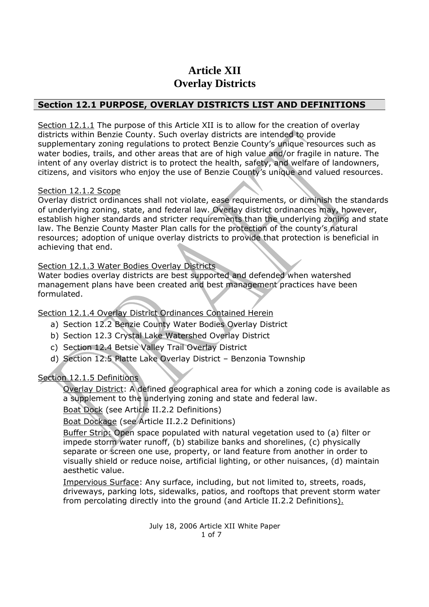# **Article XII Overlay Districts**

### **Section 12.1 PURPOSE, OVERLAY DISTRICTS LIST AND DEFINITIONS**

Section 12.1.1 The purpose of this Article XII is to allow for the creation of overlay districts within Benzie County. Such overlay districts are intended to provide supplementary zoning regulations to protect Benzie County's unique resources such as water bodies, trails, and other areas that are of high value and/or fragile in nature. The intent of any overlay district is to protect the health, safety, and welfare of landowners, citizens, and visitors who enjoy the use of Benzie County's unique and valued resources.

#### Section 12.1.2 Scope

Overlay district ordinances shall not violate, ease requirements, or diminish the standards of underlying zoning, state, and federal law. Overlay district ordinances may, however, establish higher standards and stricter requirements than the underlying zoning and state law. The Benzie County Master Plan calls for the protection of the county's natural resources; adoption of unique overlay districts to provide that protection is beneficial in achieving that end.

#### Section 12.1.3 Water Bodies Overlay Districts

Water bodies overlay districts are best supported and defended when watershed management plans have been created and best management practices have been formulated.

Section 12.1.4 Overlay District Ordinances Contained Herein

- a) Section 12.2 Benzie County Water Bodies Overlay District
- b) Section 12.3 Crystal Lake Watershed Overlay District
- c) Section 12.4 Betsie Valley Trail Overlay District
- d) Section 12.5 Platte Lake Overlay District Benzonia Township

#### Section 12.1.5 Definitions

Overlay District: A defined geographical area for which a zoning code is available as a supplement to the underlying zoning and state and federal law.

Boat Dock (see Article II.2.2 Definitions)

Boat Dockage (see Article II.2.2 Definitions)

Buffer Strip: Open space populated with natural vegetation used to (a) filter or impede storm water runoff, (b) stabilize banks and shorelines, (c) physically separate or screen one use, property, or land feature from another in order to visually shield or reduce noise, artificial lighting, or other nuisances, (d) maintain aesthetic value.

Impervious Surface: Any surface, including, but not limited to, streets, roads, driveways, parking lots, sidewalks, patios, and rooftops that prevent storm water from percolating directly into the ground (and Article II.2.2 Definitions).

> July 18, 2006 Article XII White Paper 1 of 7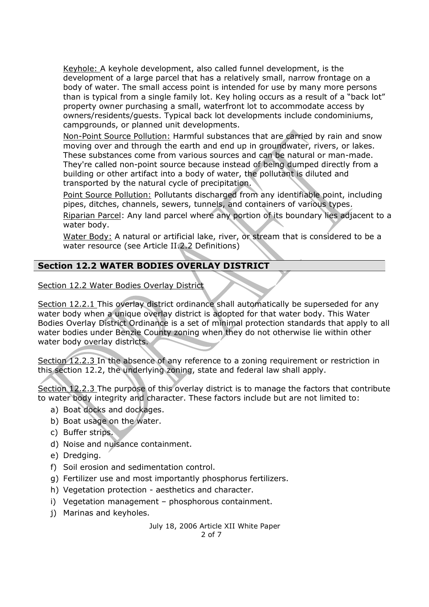Keyhole: A keyhole development, also called funnel development, is the development of a large parcel that has a relatively small, narrow frontage on a body of water. The small access point is intended for use by many more persons than is typical from a single family lot. Key holing occurs as a result of a "back lot" property owner purchasing a small, waterfront lot to accommodate access by owners/residents/guests. Typical back lot developments include condominiums, campgrounds, or planned unit developments.

Non-Point Source Pollution: Harmful substances that are carried by rain and snow moving over and through the earth and end up in groundwater, rivers, or lakes. These substances come from various sources and can be natural or man-made. They're called non-point source because instead of being dumped directly from a building or other artifact into a body of water, the pollutant is diluted and transported by the natural cycle of precipitation.

Point Source Pollution: Pollutants discharged from any identifiable point, including pipes, ditches, channels, sewers, tunnels, and containers of various types.

Riparian Parcel: Any land parcel where any portion of its boundary lies adjacent to a water body.

Water Body: A natural or artificial lake, river, or stream that is considered to be a water resource (see Article II.2.2 Definitions)

## **Section 12.2 WATER BODIES OVERLAY DISTRICT**

Section 12.2 Water Bodies Overlay District

Section 12.2.1 This overlay district ordinance shall automatically be superseded for any water body when a unique overlay district is adopted for that water body. This Water Bodies Overlay District Ordinance is a set of minimal protection standards that apply to all water bodies under Benzie County zoning when they do not otherwise lie within other water body overlay districts.

Section 12.2.3 In the absence of any reference to a zoning requirement or restriction in this section 12.2, the underlying zoning, state and federal law shall apply.

Section 12.2.3 The purpose of this overlay district is to manage the factors that contribute to water body integrity and character. These factors include but are not limited to:

- a) Boat docks and dockages.
- b) Boat usage on the water.
- c) Buffer strips.
- d) Noise and nuisance containment.
- e) Dredging.
- f) Soil erosion and sedimentation control.
- g) Fertilizer use and most importantly phosphorus fertilizers.
- h) Vegetation protection aesthetics and character.
- i) Vegetation management phosphorous containment.
- j) Marinas and keyholes.

July 18, 2006 Article XII White Paper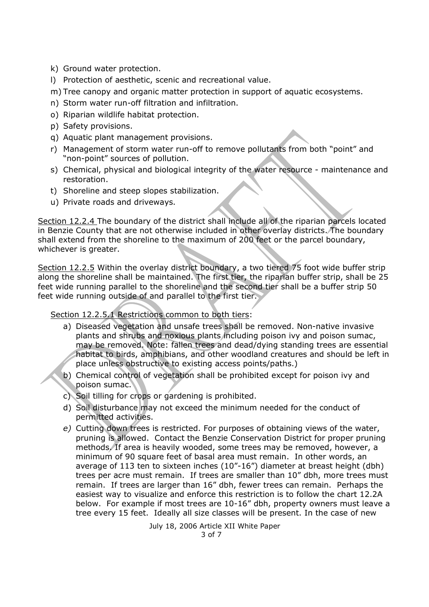- k) Ground water protection.
- l) Protection of aesthetic, scenic and recreational value.

m) Tree canopy and organic matter protection in support of aquatic ecosystems.

- n) Storm water run-off filtration and infiltration.
- o) Riparian wildlife habitat protection.
- p) Safety provisions.
- q) Aquatic plant management provisions.
- r) Management of storm water run-off to remove pollutants from both "point" and "non-point" sources of pollution.
- s) Chemical, physical and biological integrity of the water resource maintenance and restoration.
- t) Shoreline and steep slopes stabilization.
- u) Private roads and driveways.

Section 12.2.4 The boundary of the district shall include all of the riparian parcels located in Benzie County that are not otherwise included in other overlay districts. The boundary shall extend from the shoreline to the maximum of 200 feet or the parcel boundary, whichever is greater.

Section 12.2.5 Within the overlay district boundary, a two tiered 75 foot wide buffer strip along the shoreline shall be maintained. The first tier, the riparian buffer strip, shall be 25 feet wide running parallel to the shoreline and the second tier shall be a buffer strip 50 feet wide running outside of and parallel to the first tier.

Section 12.2.5.1 Restrictions common to both tiers:

- a) Diseased vegetation and unsafe trees shall be removed. Non-native invasive plants and shrubs and noxious plants including poison ivy and poison sumac, may be removed. Note: fallen trees and dead/dying standing trees are essential habitat to birds, amphibians, and other woodland creatures and should be left in place unless obstructive to existing access points/paths.)
- b) Chemical control of vegetation shall be prohibited except for poison ivy and poison sumac.
- c) Soil tilling for crops or gardening is prohibited.
- d) Soil disturbance may not exceed the minimum needed for the conduct of permitted activities.
- *e)* Cutting down trees is restricted. For purposes of obtaining views of the water, pruning is allowed. Contact the Benzie Conservation District for proper pruning methods. If area is heavily wooded, some trees may be removed, however, a minimum of 90 square feet of basal area must remain. In other words, an average of 113 ten to sixteen inches (10"-16") diameter at breast height (dbh) trees per acre must remain. If trees are smaller than 10" dbh, more trees must remain. If trees are larger than 16" dbh, fewer trees can remain. Perhaps the easiest way to visualize and enforce this restriction is to follow the chart 12.2A below. For example if most trees are 10-16" dbh, property owners must leave a tree every 15 feet. Ideally all size classes will be present. In the case of new

July 18, 2006 Article XII White Paper 3 of 7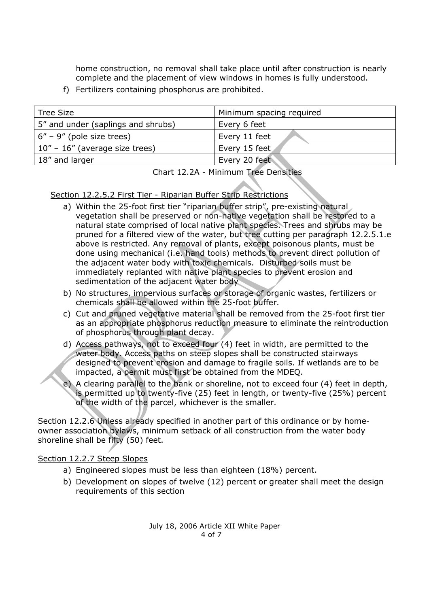home construction, no removal shall take place until after construction is nearly complete and the placement of view windows in homes is fully understood.

f) Fertilizers containing phosphorus are prohibited.

| <b>Tree Size</b>                   | Minimum spacing required |
|------------------------------------|--------------------------|
| 5" and under (saplings and shrubs) | Every 6 feet             |
| $\vert$ 6" – 9" (pole size trees)  | Every 11 feet            |
| $10"$ – 16" (average size trees)   | Every 15 feet            |
| 18" and larger                     | Every 20 feet            |

Chart 12.2A - Minimum Tree Densities

#### Section 12.2.5.2 First Tier - Riparian Buffer Strip Restrictions

- a) Within the 25-foot first tier "riparian buffer strip", pre-existing natural vegetation shall be preserved or non-native vegetation shall be restored to a natural state comprised of local native plant species. Trees and shrubs may be pruned for a filtered view of the water, but tree cutting per paragraph 12.2.5.1.e above is restricted. Any removal of plants, except poisonous plants, must be done using mechanical (i.e. hand tools) methods to prevent direct pollution of the adjacent water body with toxic chemicals. Disturbed soils must be immediately replanted with native plant species to prevent erosion and sedimentation of the adjacent water body
- b) No structures, impervious surfaces or storage of organic wastes, fertilizers or chemicals shall be allowed within the 25-foot buffer.
- c) Cut and pruned vegetative material shall be removed from the 25-foot first tier as an appropriate phosphorus reduction measure to eliminate the reintroduction of phosphorus through plant decay.
- d) Access pathways, not to exceed four (4) feet in width, are permitted to the water body. Access paths on steep slopes shall be constructed stairways designed to prevent erosion and damage to fragile soils. If wetlands are to be impacted, a permit must first be obtained from the MDEQ.
- e) A clearing parallel to the bank or shoreline, not to exceed four (4) feet in depth, is permitted up to twenty-five (25) feet in length, or twenty-five (25%) percent of the width of the parcel, whichever is the smaller.

Section 12.2.6 Unless already specified in another part of this ordinance or by homeowner association bylaws, minimum setback of all construction from the water body shoreline shall be fifty (50) feet.

#### Section 12.2.7 Steep Slopes

- a) Engineered slopes must be less than eighteen (18%) percent.
- b) Development on slopes of twelve (12) percent or greater shall meet the design requirements of this section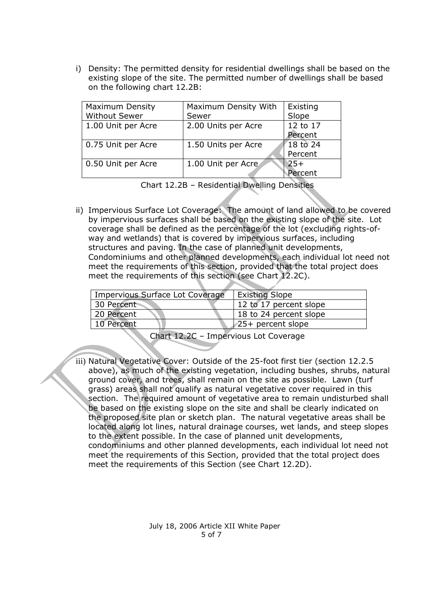i) Density: The permitted density for residential dwellings shall be based on the existing slope of the site. The permitted number of dwellings shall be based on the following chart 12.2B:

| <b>Maximum Density</b><br><b>Without Sewer</b> | Maximum Density With<br>Sewer | Existing<br>Slope   |
|------------------------------------------------|-------------------------------|---------------------|
| 1.00 Unit per Acre                             | 2.00 Units per Acre           | 12 to 17<br>Percent |
| 0.75 Unit per Acre                             | 1.50 Units per Acre           | 18 to 24<br>Percent |
| 0.50 Unit per Acre                             | 1.00 Unit per Acre            | $25+$<br>Percent    |

Chart 12.2B – Residential Dwelling Densities

ii) Impervious Surface Lot Coverage: The amount of land allowed to be covered by impervious surfaces shall be based on the existing slope of the site. Lot coverage shall be defined as the percentage of the lot (excluding rights-ofway and wetlands) that is covered by impervious surfaces, including structures and paving. In the case of planned unit developments, Condominiums and other planned developments, each individual lot need not meet the requirements of this section, provided that the total project does meet the requirements of this section (see Chart 12.2C).

| Impervious Surface Lot Coverage | <b>Existing Slope</b>  |
|---------------------------------|------------------------|
| 30 Percent                      | 12 to 17 percent slope |
| 20 Percent                      | 18 to 24 percent slope |
| 10 Percent                      | 25+ percent slope      |
|                                 |                        |

Chart 12.2C – Impervious Lot Coverage

iii) Natural Vegetative Cover: Outside of the 25-foot first tier (section 12.2.5 above), as much of the existing vegetation, including bushes, shrubs, natural ground cover, and trees, shall remain on the site as possible. Lawn (turf grass) areas shall not qualify as natural vegetative cover required in this section. The required amount of vegetative area to remain undisturbed shall be based on the existing slope on the site and shall be clearly indicated on the proposed site plan or sketch plan. The natural vegetative areas shall be located along lot lines, natural drainage courses, wet lands, and steep slopes to the extent possible. In the case of planned unit developments, condominiums and other planned developments, each individual lot need not meet the requirements of this Section, provided that the total project does meet the requirements of this Section (see Chart 12.2D).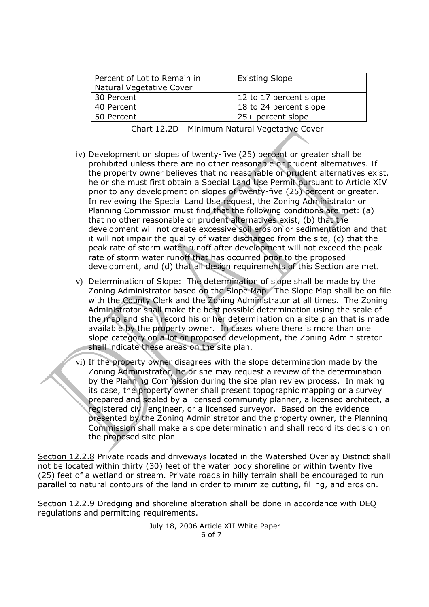| Percent of Lot to Remain in<br><b>Natural Vegetative Cover</b> | <b>Existing Slope</b>  |
|----------------------------------------------------------------|------------------------|
| 30 Percent                                                     | 12 to 17 percent slope |
| 40 Percent                                                     | 18 to 24 percent slope |
| 50 Percent                                                     | $25+$ percent slope    |

| Chart 12.2D - Minimum Natural Vegetative Cover |  |  |  |  |
|------------------------------------------------|--|--|--|--|
|------------------------------------------------|--|--|--|--|

- iv) Development on slopes of twenty-five (25) percent or greater shall be prohibited unless there are no other reasonable or prudent alternatives. If the property owner believes that no reasonable or prudent alternatives exist, he or she must first obtain a Special Land Use Permit pursuant to Article XIV prior to any development on slopes of twenty-five (25) percent or greater. In reviewing the Special Land Use request, the Zoning Administrator or Planning Commission must find that the following conditions are met: (a) that no other reasonable or prudent alternatives exist, (b) that the development will not create excessive soil erosion or sedimentation and that it will not impair the quality of water discharged from the site, (c) that the peak rate of storm water runoff after development will not exceed the peak rate of storm water runoff that has occurred prior to the proposed development, and (d) that all design requirements of this Section are met.
- v) Determination of Slope: The determination of slope shall be made by the Zoning Administrator based on the Slope Map. The Slope Map shall be on file with the County Clerk and the Zoning Administrator at all times. The Zoning Administrator shall make the best possible determination using the scale of the map and shall record his or her determination on a site plan that is made available by the property owner. In cases where there is more than one slope category on a lot or proposed development, the Zoning Administrator shall indicate these areas on the site plan.
- vi) If the property owner disagrees with the slope determination made by the Zoning Administrator, he or she may request a review of the determination by the Planning Commission during the site plan review process. In making its case, the property owner shall present topographic mapping or a survey prepared and sealed by a licensed community planner, a licensed architect, a registered civil engineer, or a licensed surveyor. Based on the evidence presented by the Zoning Administrator and the property owner, the Planning Commission shall make a slope determination and shall record its decision on the proposed site plan.

Section 12.2.8 Private roads and driveways located in the Watershed Overlay District shall not be located within thirty (30) feet of the water body shoreline or within twenty five (25) feet of a wetland or stream. Private roads in hilly terrain shall be encouraged to run parallel to natural contours of the land in order to minimize cutting, filling, and erosion.

Section 12.2.9 Dredging and shoreline alteration shall be done in accordance with DEQ regulations and permitting requirements.

> July 18, 2006 Article XII White Paper 6 of 7